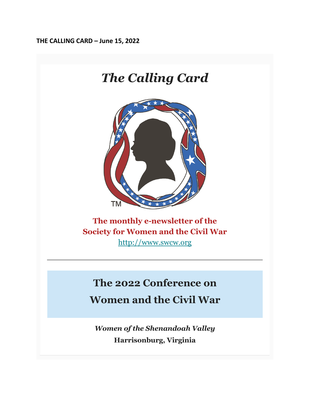**THE CALLING CARD – June 15, 2022**



*Women of the Shenandoah Valley* **Harrisonburg, Virginia**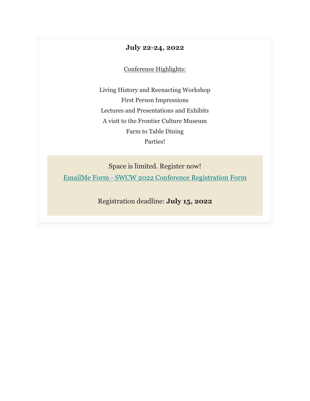#### **July 22-24, 2022**

Conference Highlights:

Living History and Reenacting Workshop First Person Impressions Lectures and Presentations and Exhibits A visit to the Frontier Culture Museum Farm to Table Dining Parties!

Space is limited. Register now! EmailMe Form - [SWCW 2022 Conference Registration Form](https://swcw.us20.list-manage.com/track/click?u=ae720c0467d5c38df0467b60b&id=8a029cb42a&e=9ad770f472)

Registration deadline: **July 15, 2022**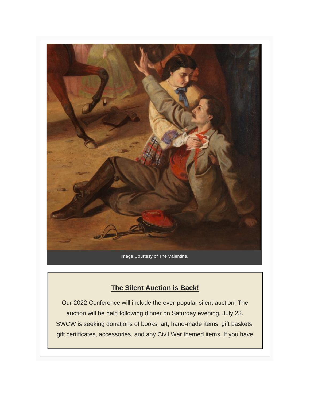

#### **The Silent Auction is Back!**

Our 2022 Conference will include the ever-popular silent auction! The auction will be held following dinner on Saturday evening, July 23. SWCW is seeking donations of books, art, hand-made items, gift baskets, gift certificates, accessories, and any Civil War themed items. If you have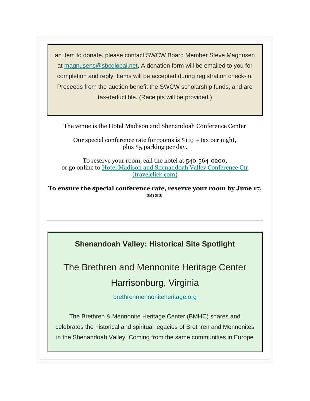an item to donate, please contact SWCW Board Member Steve Magnusen at [magnusens@sbcglobal.net](mailto:magnusens@sbcglobal.net)**.** A donation form will be emailed to you for completion and reply. Items will be accepted during registration check-in. Proceeds from the auction benefit the SWCW scholarship funds, and are tax-deductible. (Receipts will be provided.)

The venue is the Hotel Madison and Shenandoah Conference Center

Our special conference rate for rooms is \$119 + tax per night, plus \$5 parking per day.

To reserve your room, call the hotel at 540-564-0200, or go online to [Hotel Madison and Shenandoah Valley Conference Ctr](https://swcw.us20.list-manage.com/track/click?u=ae720c0467d5c38df0467b60b&id=74821552bb&e=9ad770f472)  [\(travelclick.com\)](https://swcw.us20.list-manage.com/track/click?u=ae720c0467d5c38df0467b60b&id=74821552bb&e=9ad770f472)

**To ensure the special conference rate, reserve your room by June 17, 2022**

**Shenandoah Valley: Historical Site Spotlight**

The Brethren and Mennonite Heritage Center

## Harrisonburg, Virginia

[brethrenmennoniteheritage.org](https://swcw.us20.list-manage.com/track/click?u=ae720c0467d5c38df0467b60b&id=e4f671f036&e=9ad770f472)

The Brethren & Mennonite Heritage Center (BMHC) shares and celebrates the historical and spiritual legacies of Brethren and Mennonites in the Shenandoah Valley. Coming from the same communities in Europe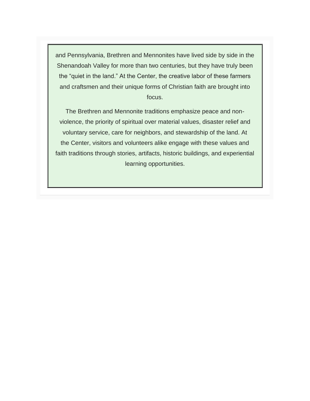and Pennsylvania, Brethren and Mennonites have lived side by side in the Shenandoah Valley for more than two centuries, but they have truly been the "quiet in the land." At the Center, the creative labor of these farmers and craftsmen and their unique forms of Christian faith are brought into focus.

The Brethren and Mennonite traditions emphasize peace and nonviolence, the priority of spiritual over material values, disaster relief and voluntary service, care for neighbors, and stewardship of the land. At the Center, visitors and volunteers alike engage with these values and faith traditions through stories, artifacts, historic buildings, and experiential learning opportunities.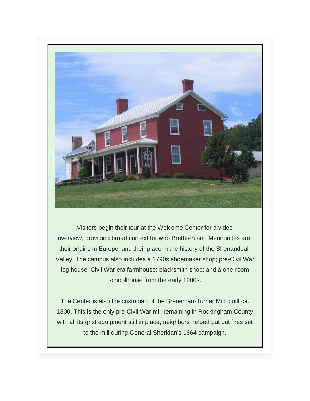

Visitors begin their tour at the Welcome Center for a video overview, providing broad context for who Brethren and Mennonites are, their origins in Europe, and their place in the history of the Shenandoah Valley. The campus also includes a 1790s shoemaker shop; pre-Civil War log house; Civil War era farmhouse; blacksmith shop; and a one-room schoolhouse from the early 1900s.

The Center is also the custodian of the Breneman-Turner Mill, built ca. 1800. This is the only pre-Civil War mill remaining in Rockingham County with all its grist equipment still in place; neighbors helped put out fires set to the mill during General Sheridan's 1864 campaign.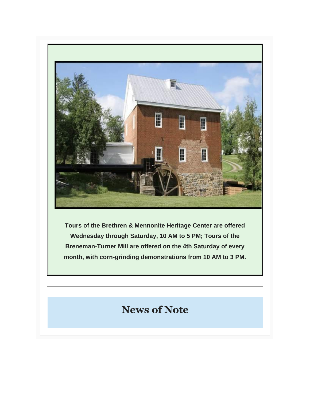

**Tours of the Brethren & Mennonite Heritage Center are offered Wednesday through Saturday, 10 AM to 5 PM; Tours of the Breneman-Turner Mill are offered on the 4th Saturday of every month, with corn-grinding demonstrations from 10 AM to 3 PM.**

# **News of Note**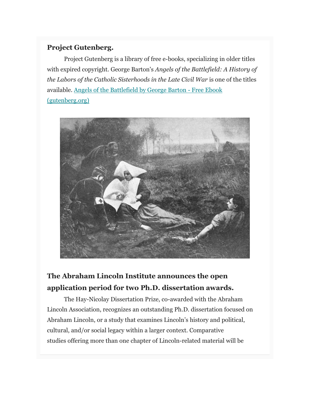#### **Project Gutenberg.**

Project Gutenberg is a library of free e-books, specializing in older titles with expired copyright. George Barton's *Angels of the Battlefield: A History of the Labors of the Catholic Sisterhoods in the Late Civil War* is one of the titles available. [Angels of the Battlefield by George Barton -](https://swcw.us20.list-manage.com/track/click?u=ae720c0467d5c38df0467b60b&id=9b67058488&e=9ad770f472) Free Ebook [\(gutenberg.org\)](https://swcw.us20.list-manage.com/track/click?u=ae720c0467d5c38df0467b60b&id=9b67058488&e=9ad770f472)



## **The Abraham Lincoln Institute announces the open application period for two Ph.D. dissertation awards.**

The Hay-Nicolay Dissertation Prize, co-awarded with the Abraham Lincoln Association, recognizes an outstanding Ph.D. dissertation focused on Abraham Lincoln, or a study that examines Lincoln's history and political, cultural, and/or social legacy within a larger context. Comparative studies offering more than one chapter of Lincoln-related material will be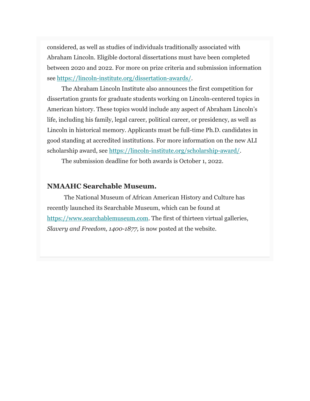considered, as well as studies of individuals traditionally associated with Abraham Lincoln. Eligible doctoral dissertations must have been completed between 2020 and 2022. For more on prize criteria and submission information see [https://lincoln-institute.org/dissertation-awards/.](https://swcw.us20.list-manage.com/track/click?u=ae720c0467d5c38df0467b60b&id=3276f09100&e=9ad770f472)

The Abraham Lincoln Institute also announces the first competition for dissertation grants for graduate students working on Lincoln-centered topics in American history. These topics would include any aspect of Abraham Lincoln's life, including his family, legal career, political career, or presidency, as well as Lincoln in historical memory. Applicants must be full-time Ph.D. candidates in good standing at accredited institutions. For more information on the new ALI scholarship award, see [https://lincoln-institute.org/scholarship-award/.](https://swcw.us20.list-manage.com/track/click?u=ae720c0467d5c38df0467b60b&id=d65f4de534&e=9ad770f472)

The submission deadline for both awards is October 1, 2022.

#### **NMAAHC Searchable Museum.**

The National Museum of African American History and Culture has recently launched its Searchable Museum, which can be found at [https://www.searchablemuseum.com.](https://swcw.us20.list-manage.com/track/click?u=ae720c0467d5c38df0467b60b&id=dd4ddb38e5&e=9ad770f472) The first of thirteen virtual galleries, *Slavery and Freedom, 1400-1877,* is now posted at the website.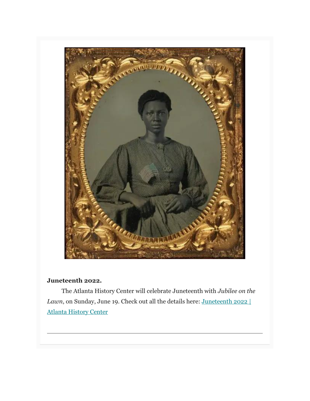

#### **Juneteenth 2022.**

The Atlanta History Center will celebrate Juneteenth with *Jubilee on the Lawn*, on Sunday, June 19. Check out all the details here: **Juneteenth 2022** | [Atlanta History Center](https://swcw.us20.list-manage.com/track/click?u=ae720c0467d5c38df0467b60b&id=c8dc88be68&e=9ad770f472)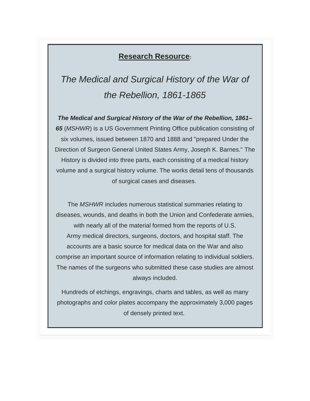### **Research Resource:**

*The Medical and Surgical History of the War of the Rebellion, 1861-1865*

*The Medical and Surgical History of the War of the Rebellion, 1861– 65* (*MSHWR*) is a US Government Printing Office publication consisting of six volumes, issued between 1870 and 1888 and "prepared Under the Direction of Surgeon General United States Army, Joseph K. Barnes." The History is divided into three parts, each consisting of a medical history volume and a surgical history volume. The works detail tens of thousands of surgical cases and diseases.

The *MSHWR* includes numerous statistical summaries relating to diseases, wounds, and deaths in both the Union and Confederate armies, with nearly all of the material formed from the reports of U.S. Army medical directors, surgeons, doctors, and hospital staff. The accounts are a basic source for medical data on the War and also comprise an important source of information relating to individual soldiers. The names of the surgeons who submitted these case studies are almost always included.

Hundreds of etchings, engravings, charts and tables, as well as many photographs and color plates accompany the approximately 3,000 pages of densely printed text.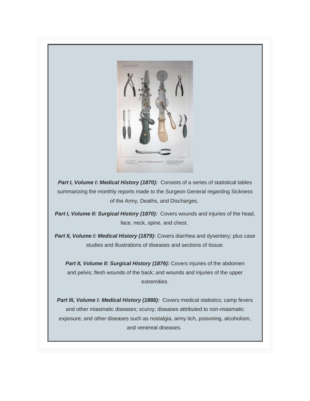

**Part I, Volume I: Medical History (1870):** Consists of a series of statistical tables summarizing the monthly reports made to the Surgeon General regarding Sickness of the Army, Deaths, and Discharges.

Part I, Volume II: Surgical History (1870): Covers wounds and injuries of the head, face, neck, spine, and chest.

**Part II, Volume I: Medical History (1879):** Covers diarrhea and dysentery; plus case studies and illustrations of diseases and sections of tissue.

**Part II, Volume II: Surgical History (1876):** Covers injuries of the abdomen and pelvis; flesh wounds of the back; and wounds and injuries of the upper extremities.

**Part III, Volume I: Medical History (1888):** Covers medical statistics; camp fevers and other miasmatic diseases; scurvy; diseases attributed to non-miasmatic exposure; and other diseases such as nostalgia, army itch, poisoning, alcoholism, and venereal diseases.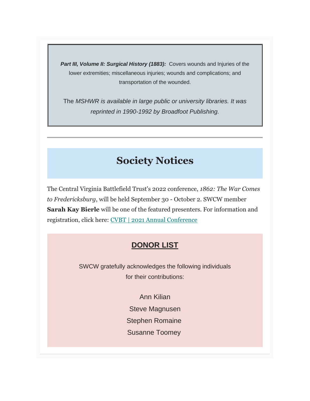**Part III, Volume II: Surgical History (1883):** Covers wounds and Injuries of the lower extremities; miscellaneous injuries; wounds and complications; and transportation of the wounded.

The *MSHWR is available in large public or university libraries. It was reprinted in 1990-1992 by Broadfoot Publishing.*

# **Society Notices**

The Central Virginia Battlefield Trust's 2022 conference, *1862: The War Comes to Fredericksburg*, will be held September 30 - October 2. SWCW member **Sarah Kay Bierle** will be one of the featured presenters. For information and registration, click here: [CVBT | 2021 Annual Conference](https://swcw.us20.list-manage.com/track/click?u=ae720c0467d5c38df0467b60b&id=dc6ef88012&e=9ad770f472)

## **DONOR LIST**

SWCW gratefully acknowledges the following individuals for their contributions:

> Ann Kilian Steve Magnusen Stephen Romaine Susanne Toomey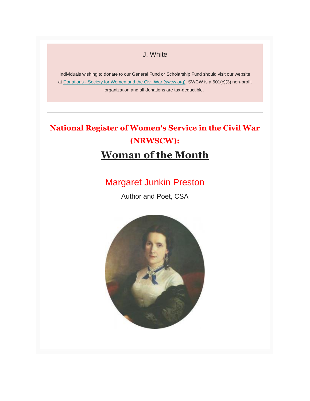#### J. White

Individuals wishing to donate to our General Fund or Scholarship Fund should visit our website at Donations - Society for Women [and the Civil War \(swcw.org\).](https://swcw.us20.list-manage.com/track/click?u=ae720c0467d5c38df0467b60b&id=2aa57bed40&e=9ad770f472) SWCW is a 501(c)(3) non-profit organization and all donations are tax-deductible.

# **National Register of Women's Service in the Civil War (NRWSCW): Woman of the Month**

## Margaret Junkin Preston

Author and Poet, CSA

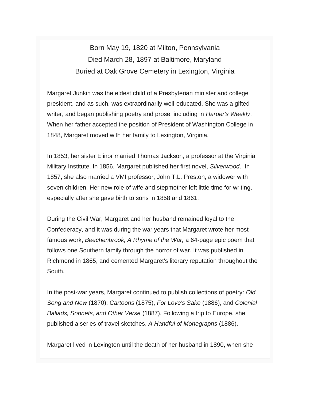Born May 19, 1820 at Milton, Pennsylvania Died March 28, 1897 at Baltimore, Maryland Buried at Oak Grove Cemetery in Lexington, Virginia

Margaret Junkin was the eldest child of a Presbyterian minister and college president, and as such, was extraordinarily well-educated. She was a gifted writer, and began publishing poetry and prose, including in *Harper's Weekly*. When her father accepted the position of President of Washington College in 1848, Margaret moved with her family to Lexington, Virginia.

In 1853, her sister Elinor married Thomas Jackson, a professor at the Virginia Military Institute. In 1856, Margaret published her first novel, *Silverwood*. In 1857, she also married a VMI professor, John T.L. Preston, a widower with seven children. Her new role of wife and stepmother left little time for writing, especially after she gave birth to sons in 1858 and 1861.

During the Civil War, Margaret and her husband remained loyal to the Confederacy, and it was during the war years that Margaret wrote her most famous work, *Beechenbrook, A Rhyme of the War,* a 64-page epic poem that follows one Southern family through the horror of war. It was published in Richmond in 1865, and cemented Margaret's literary reputation throughout the South.

In the post-war years, Margaret continued to publish collections of poetry: *Old Song and New* (1870), *Cartoons* (1875), *For Love's Sake* (1886), and *Colonial Ballads, Sonnets, and Other Verse* (1887). Following a trip to Europe, she published a series of travel sketches, *A Handful of Monographs* (1886).

Margaret lived in Lexington until the death of her husband in 1890, when she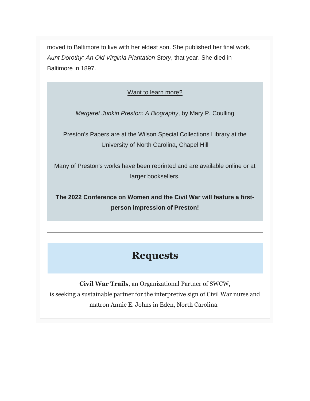moved to Baltimore to live with her eldest son. She published her final work, *Aunt Dorothy: An Old Virginia Plantation Story*, that year. She died in Baltimore in 1897.

Want to learn more?

*Margaret Junkin Preston: A Biography*, by Mary P. Coulling

Preston's Papers are at the Wilson Special Collections Library at the University of North Carolina, Chapel Hill

Many of Preston's works have been reprinted and are available online or at larger booksellers.

**The 2022 Conference on Women and the Civil War will feature a firstperson impression of Preston!**

## **Requests**

**Civil War Trails**, an Organizational Partner of SWCW, is seeking a sustainable partner for the interpretive sign of Civil War nurse and matron Annie E. Johns in Eden, North Carolina.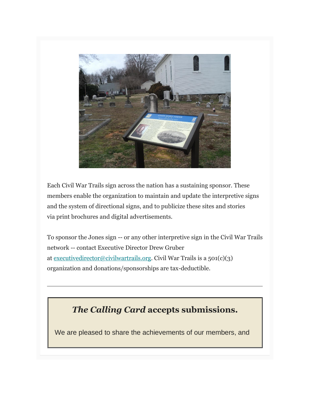

Each Civil War Trails sign across the nation has a sustaining sponsor. These members enable the organization to maintain and update the interpretive signs and the system of directional signs, and to publicize these sites and stories via print brochures and digital advertisements.

To sponsor the Jones sign -- or any other interpretive sign in the Civil War Trails network -- contact Executive Director Drew Gruber at [executivedirector@civilwartrails.org.](mailto:executivedirector@civilwartrails.org) Civil War Trails is a 501(c)(3) organization and donations/sponsorships are tax-deductible.

## *The Calling Card* **accepts submissions.**

We are pleased to share the achievements of our members, and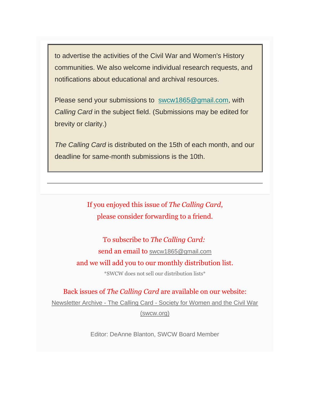to advertise the activities of the Civil War and Women's History communities. We also welcome individual research requests, and notifications about educational and archival resources.

Please send your submissions to [swcw1865@gmail.com,](mailto:swcw1865@gmail.com) with *Calling Card* in the subject field. (Submissions may be edited for brevity or clarity.)

*The Calling Card* is distributed on the 15th of each month, and our deadline for same-month submissions is the 10th.

> If you enjoyed this issue of *The Calling Card*, please consider forwarding to a friend.

To subscribe to *The Calling Card:* send an email to [swcw1865@gmail.com](mailto:Swcw1865@gmail.com) and we will add you to our monthly distribution list. \*SWCW does not sell our distribution lists\*

Back issues of *The Calling Card* are available on our website: Newsletter Archive - The Calling Card - [Society for Women and the Civil War](https://swcw.us20.list-manage.com/track/click?u=ae720c0467d5c38df0467b60b&id=c47dc1b03b&e=9ad770f472)  [\(swcw.org\)](https://swcw.us20.list-manage.com/track/click?u=ae720c0467d5c38df0467b60b&id=c47dc1b03b&e=9ad770f472)

Editor: DeAnne Blanton, SWCW Board Member